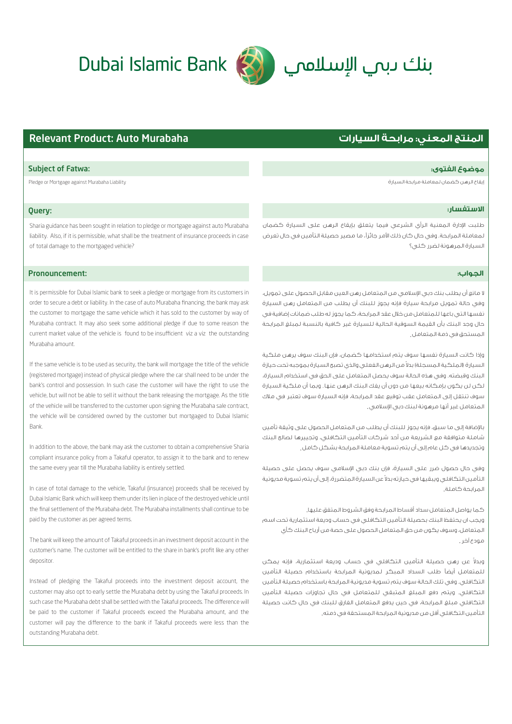# 



#### Subject of Fatwa: **:الفتوى موضوع**

إيقاع الرهن كضمان لمعاملة مرابحة السيارة Liability Murabaha against Mortgage or Pledge

## Query:

Sharia guidance has been sought in relation to pledge or mortgage against auto Murabaha liability. Also, if it is permissible, what shall be the treatment of insurance proceeds in case of total damage to the mortgaged vehicle?

## Pronouncement:

It is permissible for Dubai Islamic bank to seek a pledge or mortgage from its customers in order to secure a debt or liability. In the case of auto Murabaha financing, the bank may ask the customer to mortgage the same vehicle which it has sold to the customer by way of Murabaha contract. It may also seek some additional pledge if due to some reason the current market value of the vehicle is found to be insufficient viz a viz the outstanding Murabaha amount.

If the same vehicle is to be used as security, the bank will mortgage the title of the vehicle (registered mortgage) instead of physical pledge where the car shall need to be under the bank's control and possession. In such case the customer will have the right to use the vehicle, but will not be able to sell it without the bank releasing the mortgage. As the title of the vehicle will be transferred to the customer upon signing the Murabaha sale contract, the vehicle will be considered owned by the customer but mortgaged to Dubai Islamic Bank.

In addition to the above, the bank may ask the customer to obtain a comprehensive Sharia compliant insurance policy from a Takaful operator, to assign it to the bank and to renew the same every year till the Murabaha liability is entirely settled.

In case of total damage to the vehicle, Takaful (insurance) proceeds shall be received by Dubai Islamic Bank which will keep them under its lien in place of the destroyed vehicle until the final settlement of the Murabaha debt. The Murabaha installments shall continue to be paid by the customer as per agreed terms.

The bank will keep the amount of Takaful proceeds in an investment deposit account in the customer's name. The customer will be entitled to the share in bank's profit like any other depositor.

Instead of pledging the Takaful proceeds into the investment deposit account, the customer may also opt to early settle the Murabaha debt by using the Takaful proceeds. In such case the Murabaha debt shall be settled with the Takaful proceeds. The dierence will be paid to the customer if Takaful proceeds exceed the Murabaha amount, and the customer will pay the difference to the bank if Takaful proceeds were less than the outstanding Murabaha debt.

## **المنتج المعني: مرابحة السيارات** Murabaha Auto :Product Relevant

## **الاستفسار:**

طلبت ادارة المعنية الرأي الشرعي فيما يتعلق بإيقاع الرهن على السيارة كضمان لمعاملة المرابحة. وفي حال كان ذلك امر جائز، ما مصير حصيلة التأمين في حال تعرض السيارة المرهونة لضرر كلي؟

#### **الجواب:ز**

لا مانع أن يطلب بنك دبي اسلامي من المتعامل رهن العين مقابل الحصول على تمويل، وفي حالة تمويل مرابحة سيارة فإنه يجوز للبنك أن يطلب من المتعامل رهن السيارة نفسها التي باعها للمتعامل من خلال عقد المرابحة، كما يجوز له طلب ضمانات إضافية في حال وجد البنك بأن القيمة السوقية الحالية للسيارة غير كافية بالنسبة لمبلغ المرابحة المستحق في ذمة المتعامل .

وإذا كانت السيارة نفسها سوف يتم استخدامها كضمان، فإن البنك سوف يرهن ملكية لسيارة (الملكية المسجلة) بدلا من الرهن الفعلي والذي تصبح السيارة بموجبه تحت حيازة البنك وقبضته. وفي هذه الحالة سوف يحصل المتعامل على الحق في استخدام السيارة، لكن لن يكون بإمكانه بيعها من دون أن يفك البنك الرهن عنها. وبما أن ملكية السيارة سوف تنتقل إلى المتعامل عقب توقيع عقد المرابحة، فإنه السيارة سوف تعتبر في ملاك لمتعامل غير آنها مرهونة لبنك دبي الإسلامي.

باضافة إلى ما سبق، فإنه يجوز للبنك أن يطلب من المتعامل الحصول على وثيقة تأمين شاملة متوافقة مع الشريعة من أحد شركات التأمين التكافلي، وتجييرها لصالح البنك وتجديدها في كل عام إلى أن يتم تسوية معاملة المرابحة بشكل كامل .

وفي حال حصول ضرر على السيارة، فإن بنك دبي اسلامي سوف يحصل على حصيلة لتأمين التكافلي ويبقيها في حيازته بدلا عن السيارة المتضررة، إلى أن يتم تسوية مديونية المرابحة كاملة .

كما يواصل المتعامل سداد أقساط المرابحة وفق الشروط المتفق عليها . ويجب ان يحتفظ البنك بحصيلة التأمين التكافلي في حساب وديعة استثمارية تحت اسم المتعامل، وسوف يكون من حق المتعامل الحصول على حصة من أرباح البنك كأي مودع آخر .

ً عن رهن حصيلة التأمين التكافلي في حساب وديعة استثمارية، فإنه يمكن وبدلا للمتعامل أيضاً طلب السداد المبكر لمديونية المرابحة باستخدام حصيلة التأمين التكافلي. وفي تلك الحالة سوف يتم تسوية مديونية المرابحة باستخدام حصيلة التأمين التكافلي. ويتم دفع المبلغ المتبقي للمتعامل في حال تجاوزات حصيلة التأمين التكافلي مبلغ المرابحة، في حين يدفع المتعامل الفارق للبنك في حال كانت حصيلة التأمين التكافلي أقل من مديونية المرابحة المستحقة في ذمته .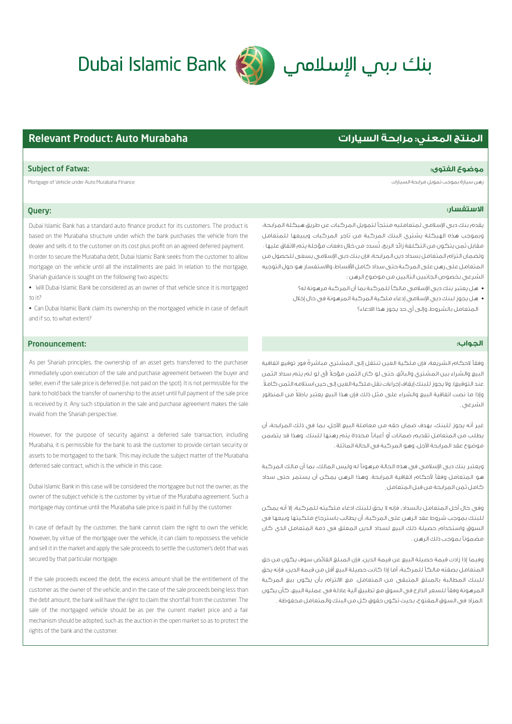## **الاستفسار:**

يقدم بنك دبي اسلامي لمتعامليه منتجÀ لتمويل المركبات عن طريق هيكلة المرابحة، وبموجب هذه الهيكلة يشتري البنك المركبة من تاجر المركبات ويبيعها للمتعامل عقابل ثمن يتكون من التكلفة زائد الربح، تسدد من خلال دفعات مؤجلة يتم الاتفاق عليها . ولضمان التزام المتعامل بسداد دين المرابحة، فإن بنك دبي اسلامي يسعى للحصول من المتعامل على رهن على المركبة حتى سداد كامل اقساط، والاستفسار هو حول التوجيه الشرعي بخصوص الجانبين التاليين من موضوع الرهن :

- هل يعتبر بنك دبي الإسلامي مالكا للمركبة بما ان المركبة مر هونة له؟
- هل يجوز لبنك دبي الإسلامي إدعاء ملكية المركبة المرهونة في حال إخلال المتعامل بالشروط، وإلى أي حد يجوز هذا الادعاء؟

## الجواب:

وفقاً لاحكام الشريعة، فإن ملكية العين تنتقل إلى المشتري مباشرةً فور توقيع اتفاقية لبيع والشراء بين المشتري والبائع، حتى لو كان الثمن مؤجلا (أي لو لم يتم سداد الثمن .ً عند التوقيع). ولا يجوز للبنك إيقاف إجراءات نقل ملكية العين إلى حين استلامه الثمن كاملا وإذا ما نصت اتفاقية البيع والشراء على مثل ذلك فإن هذا البيع يعتبر باطلا من المنظور الشرعي .

غير أنه يجوز للبنك، بهدف ضمان حقه من معاملة البيع الآجل، بما في ذلك المرابحة، أن يطلب من المتعامل تقديم ضمانات أو أعياناً محددة يتم رهنها للبنك. وهذا قد يتضمن موضوع عقد المرابحة الآجل، وهو المركبة في الحالة الماتلة .

ويعتبر بنك دبي الإسلامي في هذه الحالة مرهوناً له وليس المالك، بما أن مالك المركبة هو المتعامل وفقاً لأحكام اتفاقية المرابحة. وهذا الرهن يمكن أن يستمر حتى سداد كامل ثمن المرابحة من قبل المتعامل .

وفي حال أخل المتعامل بالسداد، فإنه لا يحق للبنك ادعاء ملكيته للمركبة، إلا أنه يمكن للبنك بموجب شروط عقد الرهن على المركبة، أن يطالب باسترجاع ملكيتها وبيعها في السوق واستخدام حصيلة ذلك البيع لسداد الدين المعلق في ذمة المتعامل الذي كان عضمونآ بموجب ذلك الرهن .

وفيما إذا زادت قيمة حصيلة البيع عن قيمة الدين، فإن المبلغ الفائض سوف يكون من حق المتعامل بصفته مالكاً للمركبة، أما إذا كانت حصيلة البيع أقل من قيمة الدين، فإنه يحق للبنك المطالبة بالمبلغ المتبقي من المتعامل. مع الالتزام بأن يكون بيع المركبة المرهونة وفقاً للسعر الدارج في السوق مع تطبيق آلية عادلة في عملية البيع، كأن يكون .المزاد في السوق المفتوح، بحيث تكون حقوق كل من البنك والمتعامل محفوظة .

## **المنتج المعني: مرابحة السيارات** Murabaha Auto :Product Relevant

#### Subject of Fatwa: **:الفتوى موضوع**

.<br>Mortgage of Vehicle under Auto Murabaha Finance السيارات مرابحة تمويل مرابحة السيارات مرابحة تمويل مرابحة تموي

## Query:

Dubai Islamic Bank has a standard auto finance product for its customers. The product is based on the Murabaha structure under which the bank purchases the vehicle from the dealer and sells it to the customer on its cost plus profit on an agreed deferred payment. In order to secure the Murabaha debt, Dubai Islamic Bank seeks from the customer to allow mortgage on the vehicle until all the installments are paid. In relation to the mortgage, Shariah guidance is sought on the following two aspects:

• Will Dubai Islamic Bank be considered as an owner of that vehicle since it is mortgaged to  $it$ ?

• Can Dubai Islamic Bank claim its ownership on the mortgaged vehicle in case of default and if so, to what extent?

### Pronouncement:

As per Shariah principles, the ownership of an asset gets transferred to the purchaser immediately upon execution of the sale and purchase agreement between the buyer and seller, even if the sale price is deferred (i.e. not paid on the spot). It is not permissible for the bank to hold back the transfer of ownership to the asset until full payment of the sale price is received by it. Any such stipulation in the sale and purchase agreement makes the sale invalid from the Shariah perspective.

However, for the purpose of security against a deferred sale transaction, including Murabaha, it is permissible for the bank to ask the customer to provide certain security or assets to be mortgaged to the bank. This may include the subject matter of the Murabaha deferred sale contract, which is the vehicle in this case.

Dubai Islamic Bank in this case will be considered the mortgagee but not the owner, as the owner of the subject vehicle is the customer by virtue of the Murabaha agreement. Such a mortgage may continue until the Murabaha sale price is paid in full by the customer.

In case of default by the customer, the bank cannot claim the right to own the vehicle; however, by virtue of the mortgage over the vehicle, it can claim to repossess the vehicle and sell it in the market and apply the sale proceeds to settle the customer's debt that was secured by that particular mortgage.

If the sale proceeds exceed the debt, the excess amount shall be the entitlement of the customer as the owner of the vehicle, and in the case of the sale proceeds being less than the debt amount, the bank will have the right to claim the shortfall from the customer. The sale of the mortgaged vehicle should be as per the current market price and a fair mechanism should be adopted, such as the auction in the open market so as to protect the rights of the bank and the customer.

# Dubai Islamic Bank (رنك للإسلامي